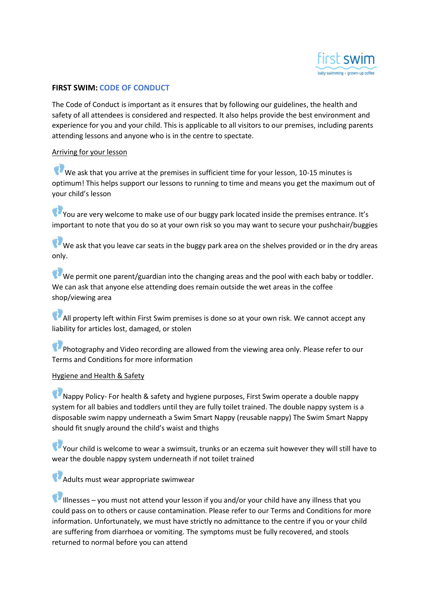

## FIRST SWIM: CODE OF CONDUCT

The Code of Conduct is important as it ensures that by following our guidelines, the health and safety of all attendees is considered and respected. It also helps provide the best environment and experience for you and your child. This is applicable to all visitors to our premises, including parents attending lessons and anyone who is in the centre to spectate.

## Arriving for your lesson

We ask that you arrive at the premises in sufficient time for your lesson, 10-15 minutes is optimum! This helps support our lessons to running to time and means you get the maximum out of your child's lesson

You are very welcome to make use of our buggy park located inside the premises entrance. It's important to note that you do so at your own risk so you may want to secure your pushchair/buggies

We ask that you leave car seats in the buggy park area on the shelves provided or in the dry areas only.

We permit one parent/guardian into the changing areas and the pool with each baby or toddler. We can ask that anyone else attending does remain outside the wet areas in the coffee shop/viewing area

All property left within First Swim premises is done so at your own risk. We cannot accept any liability for articles lost, damaged, or stolen

Photography and Video recording are allowed from the viewing area only. Please refer to our Terms and Conditions for more information

## Hygiene and Health & Safety

Nappy Policy- For health & safety and hygiene purposes, First Swim operate a double nappy system for all babies and toddlers until they are fully toilet trained. The double nappy system is a disposable swim nappy underneath a Swim Smart Nappy (reusable nappy) The Swim Smart Nappy should fit snugly around the child's waist and thighs

Your child is welcome to wear a swimsuit, trunks or an eczema suit however they will still have to wear the double nappy system underneath if not toilet trained

Adults must wear appropriate swimwear

Illnesses – you must not attend your lesson if you and/or your child have any illness that you could pass on to others or cause contamination. Please refer to our Terms and Conditions for more information. Unfortunately, we must have strictly no admittance to the centre if you or your child are suffering from diarrhoea or vomiting. The symptoms must be fully recovered, and stools returned to normal before you can attend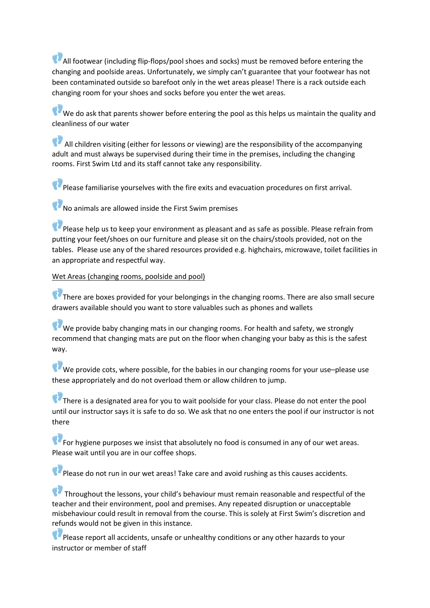All footwear (including flip-flops/pool shoes and socks) must be removed before entering the changing and poolside areas. Unfortunately, we simply can't guarantee that your footwear has not been contaminated outside so barefoot only in the wet areas please! There is a rack outside each changing room for your shoes and socks before you enter the wet areas.

We do ask that parents shower before entering the pool as this helps us maintain the quality and cleanliness of our water

 $\bullet$  All children visiting (either for lessons or viewing) are the responsibility of the accompanying adult and must always be supervised during their time in the premises, including the changing rooms. First Swim Ltd and its staff cannot take any responsibility.

Please familiarise yourselves with the fire exits and evacuation procedures on first arrival.

 $\mathbf W$  No animals are allowed inside the First Swim premises

Please help us to keep your environment as pleasant and as safe as possible. Please refrain from putting your feet/shoes on our furniture and please sit on the chairs/stools provided, not on the tables. Please use any of the shared resources provided e.g. highchairs, microwave, toilet facilities in an appropriate and respectful way.

Wet Areas (changing rooms, poolside and pool)

There are boxes provided for your belongings in the changing rooms. There are also small secure drawers available should you want to store valuables such as phones and wallets

We provide baby changing mats in our changing rooms. For health and safety, we strongly recommend that changing mats are put on the floor when changing your baby as this is the safest way.

 $W$  We provide cots, where possible, for the babies in our changing rooms for your use–please use these appropriately and do not overload them or allow children to jump.

There is a designated area for you to wait poolside for your class. Please do not enter the pool until our instructor says it is safe to do so. We ask that no one enters the pool if our instructor is not there

For hygiene purposes we insist that absolutely no food is consumed in any of our wet areas. Please wait until you are in our coffee shops.

Please do not run in our wet areas! Take care and avoid rushing as this causes accidents.

Throughout the lessons, your child's behaviour must remain reasonable and respectful of the teacher and their environment, pool and premises. Any repeated disruption or unacceptable misbehaviour could result in removal from the course. This is solely at First Swim's discretion and refunds would not be given in this instance.

Please report all accidents, unsafe or unhealthy conditions or any other hazards to your instructor or member of staff